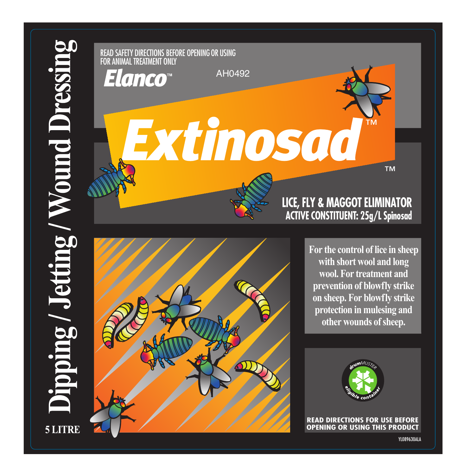



**For the control of lice in sheep with short wool and long wool. For treatment and prevention of blowfly strike on sheep. For blowfly strike protection in mulesing and other wounds of sheep.** 



**READ DIRECTIONS FOR USE BEFORE OPENING OR USING THIS PRODUCT**

YL089630ALA